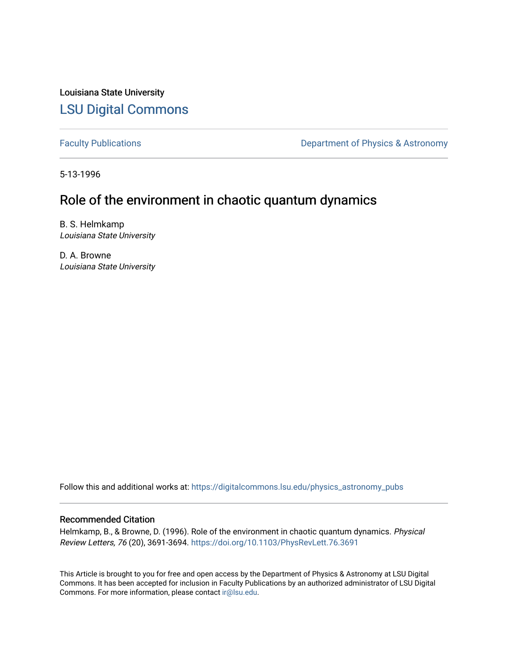Louisiana State University [LSU Digital Commons](https://digitalcommons.lsu.edu/)

[Faculty Publications](https://digitalcommons.lsu.edu/physics_astronomy_pubs) **Exercise 2** Constant Department of Physics & Astronomy

5-13-1996

# Role of the environment in chaotic quantum dynamics

B. S. Helmkamp Louisiana State University

D. A. Browne Louisiana State University

Follow this and additional works at: [https://digitalcommons.lsu.edu/physics\\_astronomy\\_pubs](https://digitalcommons.lsu.edu/physics_astronomy_pubs?utm_source=digitalcommons.lsu.edu%2Fphysics_astronomy_pubs%2F522&utm_medium=PDF&utm_campaign=PDFCoverPages) 

#### Recommended Citation

Helmkamp, B., & Browne, D. (1996). Role of the environment in chaotic quantum dynamics. Physical Review Letters, 76 (20), 3691-3694.<https://doi.org/10.1103/PhysRevLett.76.3691>

This Article is brought to you for free and open access by the Department of Physics & Astronomy at LSU Digital Commons. It has been accepted for inclusion in Faculty Publications by an authorized administrator of LSU Digital Commons. For more information, please contact [ir@lsu.edu](mailto:ir@lsu.edu).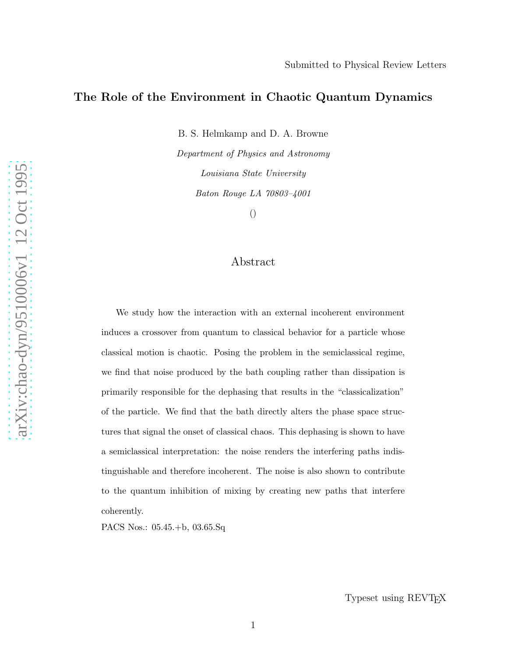# The Role of the Environment in Chaotic Quantum Dynamics

B. S. Helmkamp and D. A. Browne

Department of Physics and Astronomy Louisiana State University Baton Rouge LA 70803–4001

()

## Abstract

We study how the interaction with an external incoherent environment induces a crossover from quantum to classical behavior for a particle whose classical motion is chaotic. Posing the problem in the semiclassical regime, we find that noise produced by the bath coupling rather than dissipation is primarily responsible for the dephasing that results in the "classicalization" of the particle. We find that the bath directly alters the phase space structures that signal the onset of classical chaos. This dephasing is shown to have a semiclassical interpretation: the noise renders the interfering paths indistinguishable and therefore incoherent. The noise is also shown to contribute to the quantum inhibition of mixing by creating new paths that interfere coherently.

PACS Nos.: 05.45.+b, 03.65.Sq

Typeset using REVTEX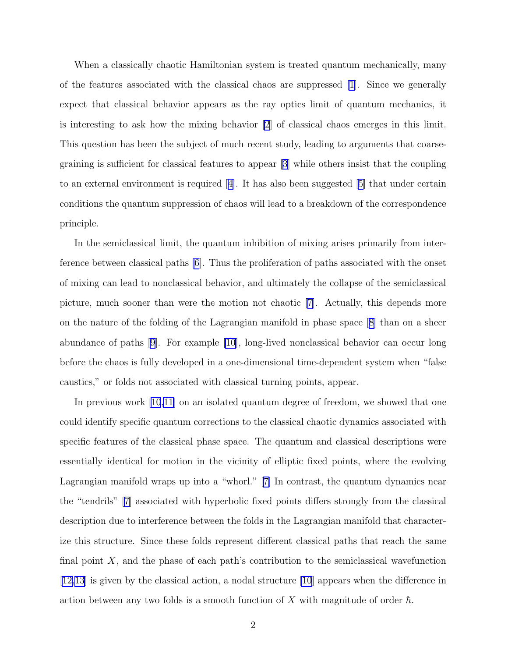When a classically chaotic Hamiltonian system is treated quantum mechanically, many of the features associated with the classical chaos are suppressed  $|1|$ . Since we generally expect that classical behavior appears as the ray optics limit of quantum mechanics, it is interesting to ask how the mixing behavior [\[2](#page-8-0)] of classical chaos emerges in this limit. This question has been the subject of much recent study, leading to arguments that coarsegraining is sufficient for classical features to appear[[3\]](#page-8-0) while others insist that the coupling to an external environment is required[[4\]](#page-8-0). It has also been suggested [\[5](#page-8-0)] that under certain conditions the quantum suppression of chaos will lead to a breakdown of the correspondence principle.

In the semiclassical limit, the quantum inhibition of mixing arises primarily from interference between classical paths [\[6](#page-8-0)]. Thus the proliferation of paths associated with the onset of mixing can lead to nonclassical behavior, and ultimately the collapse of the semiclassical picture, much sooner than were the motion not chaotic[[7\]](#page-8-0). Actually, this depends more on the nature of the folding of the Lagrangian manifold in phase space[[8\]](#page-8-0) than on a sheer abundance of paths [\[9](#page-8-0)]. For example [\[10](#page-8-0)], long-lived nonclassical behavior can occur long before the chaos is fully developed in a one-dimensional time-dependent system when "false caustics," or folds not associated with classical turning points, appear.

In previous work [\[10,11](#page-8-0)] on an isolated quantum degree of freedom, we showed that one could identify specific quantum corrections to the classical chaotic dynamics associated with specific features of the classical phase space. The quantum and classical descriptions were essentially identical for motion in the vicinity of elliptic fixed points, where the evolving Lagrangian manifold wraps up into a "whorl."[[7\]](#page-8-0) In contrast, the quantum dynamics near the "tendrils"[[7\]](#page-8-0) associated with hyperbolic fixed points differs strongly from the classical description due to interference between the folds in the Lagrangian manifold that characterize this structure. Since these folds represent different classical paths that reach the same final point  $X$ , and the phase of each path's contribution to the semiclassical wavefunction [\[12,13\]](#page-8-0) is given by the classical action, a nodal structure [\[10](#page-8-0)] appears when the difference in action between any two folds is a smooth function of X with magnitude of order  $\hbar$ .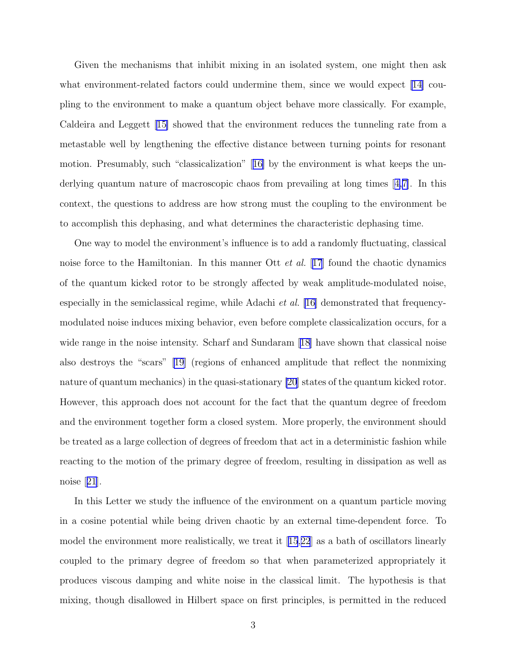Given the mechanisms that inhibit mixing in an isolated system, one might then ask what environment-related factors could undermine them, since we would expect [\[14\]](#page-8-0) coupling to the environment to make a quantum object behave more classically. For example, Caldeira and Leggett[[15\]](#page-8-0) showed that the environment reduces the tunneling rate from a metastable well by lengthening the effective distance between turning points for resonant motion. Presumably, such "classicalization"[[16\]](#page-8-0) by the environment is what keeps the underlying quantum nature of macroscopic chaos from prevailing at long times[[4,7\]](#page-8-0). In this context, the questions to address are how strong must the coupling to the environment be to accomplish this dephasing, and what determines the characteristic dephasing time.

One way to model the environment's influence is to add a randomly fluctuating, classical noise force to the Hamiltonian. In this manner Ott *et al.*  $|17|$  $|17|$  $|17|$  found the chaotic dynamics of the quantum kicked rotor to be strongly affected by weak amplitude-modulated noise, especially in the semiclassical regime, while Adachi *et al.* [\[16](#page-8-0)] demonstrated that frequencymodulated noise induces mixing behavior, even before complete classicalization occurs, for a wide range in the noise intensity. Scharf and Sundaram [\[18\]](#page-9-0) have shown that classical noise also destroys the "scars" [\[19\]](#page-9-0) (regions of enhanced amplitude that reflect the nonmixing nature of quantum mechanics) in the quasi-stationary [\[20](#page-9-0)] states of the quantum kicked rotor. However, this approach does not account for the fact that the quantum degree of freedom and the environment together form a closed system. More properly, the environment should be treated as a large collection of degrees of freedom that act in a deterministic fashion while reacting to the motion of the primary degree of freedom, resulting in dissipation as well as noise $|21|$  $|21|$  $|21|$ .

In this Letter we study the influence of the environment on a quantum particle moving in a cosine potential while being driven chaotic by an external time-dependent force. To modelthe environment more realistically, we treat it  $(15,22)$  $(15,22)$  $(15,22)$  $(15,22)$  $(15,22)$  as a bath of oscillators linearly coupled to the primary degree of freedom so that when parameterized appropriately it produces viscous damping and white noise in the classical limit. The hypothesis is that mixing, though disallowed in Hilbert space on first principles, is permitted in the reduced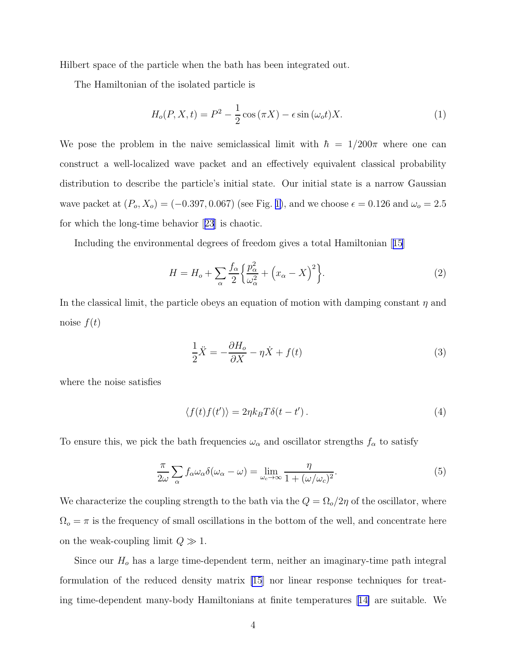<span id="page-4-0"></span>Hilbert space of the particle when the bath has been integrated out.

The Hamiltonian of the isolated particle is

$$
H_o(P, X, t) = P^2 - \frac{1}{2}\cos(\pi X) - \epsilon \sin(\omega_o t)X.
$$
 (1)

We pose the problem in the naive semiclassical limit with  $\hbar = 1/200\pi$  where one can construct a well-localized wave packet and an effectively equivalent classical probability distribution to describe the particle's initial state. Our initial state is a narrow Gaussian wave packet at  $(P_o, X_o) = (-0.397, 0.067)$  (see Fig. [1\)](#page-10-0), and we choose  $\epsilon = 0.126$  and  $\omega_o = 2.5$ for which the long-time behavior[[23](#page-9-0)] is chaotic.

Including the environmental degrees of freedom gives a total Hamiltonian[[15](#page-8-0)]

$$
H = H_o + \sum_{\alpha} \frac{f_{\alpha}}{2} \left\{ \frac{p_{\alpha}^2}{\omega_{\alpha}^2} + \left(x_{\alpha} - X\right)^2 \right\}.
$$
 (2)

In the classical limit, the particle obeys an equation of motion with damping constant  $\eta$  and noise  $f(t)$ 

$$
\frac{1}{2}\ddot{X} = -\frac{\partial H_o}{\partial X} - \eta \dot{X} + f(t)
$$
\n(3)

where the noise satisfies

$$
\langle f(t)f(t')\rangle = 2\eta k_B T \delta(t - t')\,. \tag{4}
$$

To ensure this, we pick the bath frequencies  $\omega_{\alpha}$  and oscillator strengths  $f_{\alpha}$  to satisfy

$$
\frac{\pi}{2\omega} \sum_{\alpha} f_{\alpha} \omega_{\alpha} \delta(\omega_{\alpha} - \omega) = \lim_{\omega_c \to \infty} \frac{\eta}{1 + (\omega/\omega_c)^2}.
$$
 (5)

We characterize the coupling strength to the bath via the  $Q = \Omega_o/2\eta$  of the oscillator, where  $\Omega_o = \pi$  is the frequency of small oscillations in the bottom of the well, and concentrate here on the weak-coupling limit  $Q \gg 1$ .

Since our  $H_o$  has a large time-dependent term, neither an imaginary-time path integral formulation of the reduced density matrix [\[15](#page-8-0)] nor linear response techniques for treating time-dependent many-body Hamiltonians at finite temperatures [[14\]](#page-8-0) are suitable. We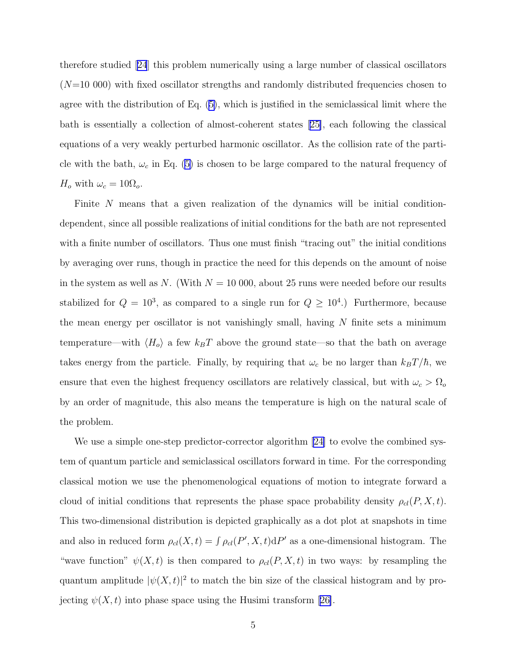therefore studied[[24](#page-9-0)] this problem numerically using a large number of classical oscillators  $(N=10\ 000)$  with fixed oscillator strengths and randomly distributed frequencies chosen to agree with the distribution of Eq.([5\)](#page-4-0), which is justified in the semiclassical limit where the bath is essentially a collection of almost-coherent states[[25\]](#page-9-0), each following the classical equations of a very weakly perturbed harmonic oscillator. As the collision rate of the particlewith the bath,  $\omega_c$  in Eq. ([5\)](#page-4-0) is chosen to be large compared to the natural frequency of  $H_o$  with  $\omega_c = 10\Omega_o$ .

Finite N means that a given realization of the dynamics will be initial conditiondependent, since all possible realizations of initial conditions for the bath are not represented with a finite number of oscillators. Thus one must finish "tracing out" the initial conditions by averaging over runs, though in practice the need for this depends on the amount of noise in the system as well as N. (With  $N = 10000$ , about 25 runs were needed before our results stabilized for  $Q = 10^3$ , as compared to a single run for  $Q \ge 10^4$ .) Furthermore, because the mean energy per oscillator is not vanishingly small, having  $N$  finite sets a minimum temperature—with  $\langle H_o \rangle$  a few  $k_B T$  above the ground state—so that the bath on average takes energy from the particle. Finally, by requiring that  $\omega_c$  be no larger than  $k_BT/\hbar$ , we ensure that even the highest frequency oscillators are relatively classical, but with  $\omega_c > \Omega_o$ by an order of magnitude, this also means the temperature is high on the natural scale of the problem.

We use a simple one-step predictor-corrector algorithm [\[24\]](#page-9-0) to evolve the combined system of quantum particle and semiclassical oscillators forward in time. For the corresponding classical motion we use the phenomenological equations of motion to integrate forward a cloud of initial conditions that represents the phase space probability density  $\rho_{cl}(P, X, t)$ . This two-dimensional distribution is depicted graphically as a dot plot at snapshots in time and also in reduced form  $\rho_{cl}(X,t) = \int \rho_{cl}(P', X, t) dP'$  as a one-dimensional histogram. The "wave function"  $\psi(X, t)$  is then compared to  $\rho_{cl}(P, X, t)$  in two ways: by resampling the quantum amplitude  $|\psi(X,t)|^2$  to match the bin size of the classical histogram and by pro-jecting $\psi(X, t)$  into phase space using the Husimi transform [[26\]](#page-9-0).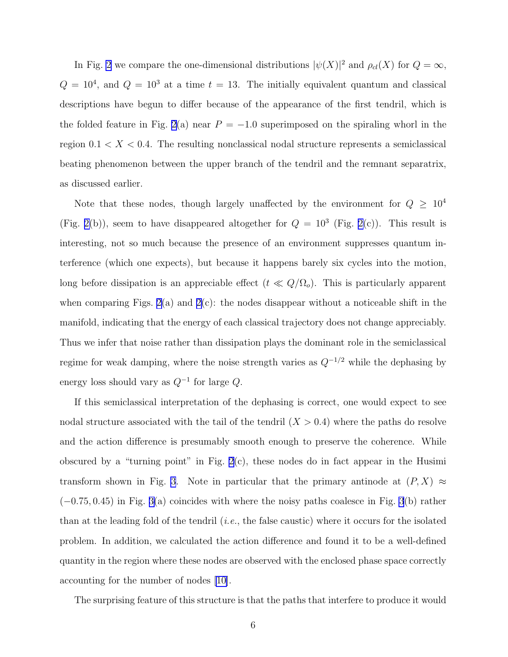In Fig. [2](#page-10-0) we compare the one-dimensional distributions  $|\psi(X)|^2$  and  $\rho_{cl}(X)$  for  $Q = \infty$ ,  $Q = 10<sup>4</sup>$ , and  $Q = 10<sup>3</sup>$  at a time  $t = 13$ . The initially equivalent quantum and classical descriptions have begun to differ because of the appearance of the first tendril, which is the folded feature in Fig. [2\(](#page-10-0)a) near  $P = -1.0$  superimposed on the spiraling whorl in the region  $0.1 < X < 0.4$ . The resulting nonclassical nodal structure represents a semiclassical beating phenomenon between the upper branch of the tendril and the remnant separatrix, as discussed earlier.

Note that these nodes, though largely unaffected by the environment for  $Q \geq 10^4$ (Fig. [2\(](#page-10-0)b)), seem to have disappeared altogether for  $Q = 10^3$  (Fig. 2(c)). This result is interesting, not so much because the presence of an environment suppresses quantum interference (which one expects), but because it happens barely six cycles into the motion, long before dissipation is an appreciable effect  $(t \ll Q/\Omega_o)$ . This is particularly apparent when comparing Figs.  $2(a)$  and  $2(c)$ : the nodes disappear without a noticeable shift in the manifold, indicating that the energy of each classical trajectory does not change appreciably. Thus we infer that noise rather than dissipation plays the dominant role in the semiclassical regime for weak damping, where the noise strength varies as  $Q^{-1/2}$  while the dephasing by energy loss should vary as  $Q^{-1}$  for large  $Q$ .

If this semiclassical interpretation of the dephasing is correct, one would expect to see nodal structure associated with the tail of the tendril  $(X > 0.4)$  where the paths do resolve and the action difference is presumably smooth enough to preserve the coherence. While obscured by a "turning point" in Fig.  $2(c)$ , these nodes do in fact appear in the Husimi transform shown in Fig. [3](#page-10-0). Note in particular that the primary antinode at  $(P, X) \approx$ (−0.75, 0.45) in Fig. [3\(](#page-10-0)a) coincides with where the noisy paths coalesce in Fig. [3](#page-10-0)(b) rather than at the leading fold of the tendril  $(i.e.,$  the false caustic) where it occurs for the isolated problem. In addition, we calculated the action difference and found it to be a well-defined quantity in the region where these nodes are observed with the enclosed phase space correctly accounting for the number of nodes[[10\]](#page-8-0).

The surprising feature of this structure is that the paths that interfere to produce it would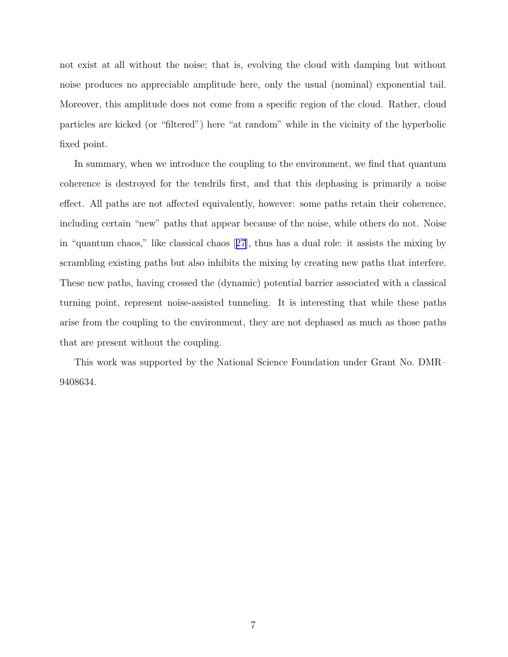not exist at all without the noise; that is, evolving the cloud with damping but without noise produces no appreciable amplitude here, only the usual (nominal) exponential tail. Moreover, this amplitude does not come from a specific region of the cloud. Rather, cloud particles are kicked (or "filtered") here "at random" while in the vicinity of the hyperbolic fixed point.

In summary, when we introduce the coupling to the environment, we find that quantum coherence is destroyed for the tendrils first, and that this dephasing is primarily a noise effect. All paths are not affected equivalently, however: some paths retain their coherence, including certain "new" paths that appear because of the noise, while others do not. Noise in "quantum chaos," like classical chaos[[27](#page-9-0)], thus has a dual role: it assists the mixing by scrambling existing paths but also inhibits the mixing by creating new paths that interfere. These new paths, having crossed the (dynamic) potential barrier associated with a classical turning point, represent noise-assisted tunneling. It is interesting that while these paths arise from the coupling to the environment, they are not dephased as much as those paths that are present without the coupling.

This work was supported by the National Science Foundation under Grant No. DMR– 9408634.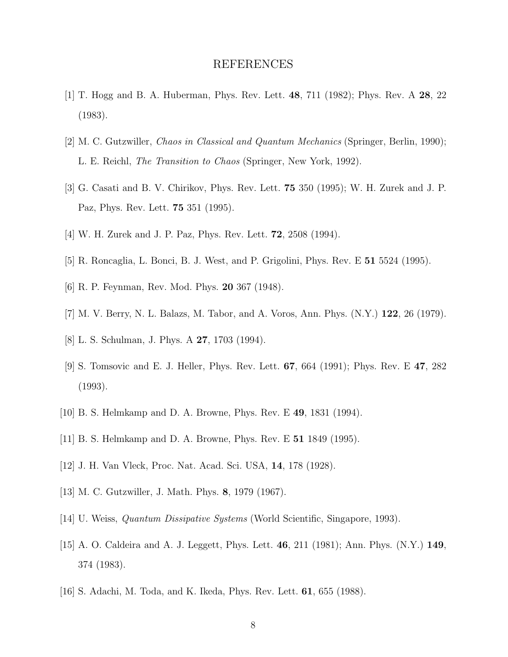### REFERENCES

- <span id="page-8-0"></span>[1] T. Hogg and B. A. Huberman, Phys. Rev. Lett. 48, 711 (1982); Phys. Rev. A 28, 22 (1983).
- [2] M. C. Gutzwiller, Chaos in Classical and Quantum Mechanics (Springer, Berlin, 1990); L. E. Reichl, The Transition to Chaos (Springer, New York, 1992).
- [3] G. Casati and B. V. Chirikov, Phys. Rev. Lett. 75 350 (1995); W. H. Zurek and J. P. Paz, Phys. Rev. Lett. 75 351 (1995).
- [4] W. H. Zurek and J. P. Paz, Phys. Rev. Lett. 72, 2508 (1994).
- [5] R. Roncaglia, L. Bonci, B. J. West, and P. Grigolini, Phys. Rev. E 51 5524 (1995).
- [6] R. P. Feynman, Rev. Mod. Phys. 20 367 (1948).
- [7] M. V. Berry, N. L. Balazs, M. Tabor, and A. Voros, Ann. Phys. (N.Y.) 122, 26 (1979).
- [8] L. S. Schulman, J. Phys. A 27, 1703 (1994).
- [9] S. Tomsovic and E. J. Heller, Phys. Rev. Lett. 67, 664 (1991); Phys. Rev. E 47, 282 (1993).
- [10] B. S. Helmkamp and D. A. Browne, Phys. Rev. E 49, 1831 (1994).
- [11] B. S. Helmkamp and D. A. Browne, Phys. Rev. E 51 1849 (1995).
- [12] J. H. Van Vleck, Proc. Nat. Acad. Sci. USA, 14, 178 (1928).
- [13] M. C. Gutzwiller, J. Math. Phys. 8, 1979 (1967).
- [14] U. Weiss, Quantum Dissipative Systems (World Scientific, Singapore, 1993).
- [15] A. O. Caldeira and A. J. Leggett, Phys. Lett. 46, 211 (1981); Ann. Phys. (N.Y.) 149, 374 (1983).
- [16] S. Adachi, M. Toda, and K. Ikeda, Phys. Rev. Lett. 61, 655 (1988).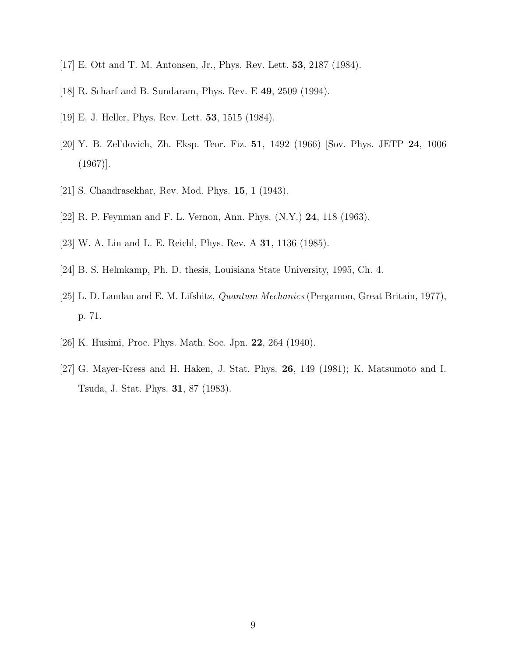- <span id="page-9-0"></span>[17] E. Ott and T. M. Antonsen, Jr., Phys. Rev. Lett. 53, 2187 (1984).
- [18] R. Scharf and B. Sundaram, Phys. Rev. E 49, 2509 (1994).
- [19] E. J. Heller, Phys. Rev. Lett. 53, 1515 (1984).
- [20] Y. B. Zel'dovich, Zh. Eksp. Teor. Fiz. 51, 1492 (1966) [Sov. Phys. JETP 24, 1006  $(1967)$ .
- [21] S. Chandrasekhar, Rev. Mod. Phys. 15, 1 (1943).
- [22] R. P. Feynman and F. L. Vernon, Ann. Phys. (N.Y.) 24, 118 (1963).
- [23] W. A. Lin and L. E. Reichl, Phys. Rev. A 31, 1136 (1985).
- [24] B. S. Helmkamp, Ph. D. thesis, Louisiana State University, 1995, Ch. 4.
- [25] L. D. Landau and E. M. Lifshitz, Quantum Mechanics (Pergamon, Great Britain, 1977), p. 71.
- [26] K. Husimi, Proc. Phys. Math. Soc. Jpn. 22, 264 (1940).
- [27] G. Mayer-Kress and H. Haken, J. Stat. Phys. 26, 149 (1981); K. Matsumoto and I. Tsuda, J. Stat. Phys. 31, 87 (1983).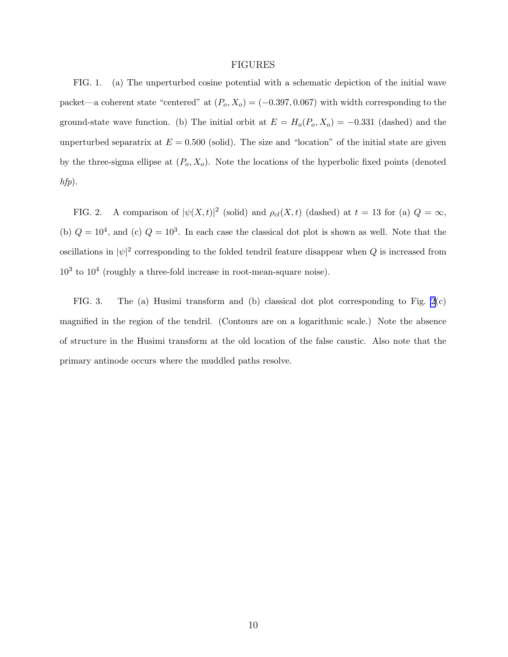#### FIGURES

<span id="page-10-0"></span>FIG. 1. (a) The unperturbed cosine potential with a schematic depiction of the initial wave packet—a coherent state "centered" at  $(P_o, X_o) = (-0.397, 0.067)$  with width corresponding to the ground-state wave function. (b) The initial orbit at  $E = H_o(P_o, X_o) = -0.331$  (dashed) and the unperturbed separatrix at  $E = 0.500$  (solid). The size and "location" of the initial state are given by the three-sigma ellipse at  $(P_o, X_o)$ . Note the locations of the hyperbolic fixed points (denoted hfp).

FIG. 2. A comparison of  $|\psi(X,t)|^2$  (solid) and  $\rho_{cl}(X,t)$  (dashed) at  $t = 13$  for (a)  $Q = \infty$ , (b)  $Q = 10^4$ , and (c)  $Q = 10^3$ . In each case the classical dot plot is shown as well. Note that the oscillations in  $|\psi|^2$  corresponding to the folded tendril feature disappear when Q is increased from  $10^3$  to  $10^4$  (roughly a three-fold increase in root-mean-square noise).

FIG. 3. The (a) Husimi transform and (b) classical dot plot corresponding to Fig. 2(c) magnified in the region of the tendril. (Contours are on a logarithmic scale.) Note the absence of structure in the Husimi transform at the old location of the false caustic. Also note that the primary antinode occurs where the muddled paths resolve.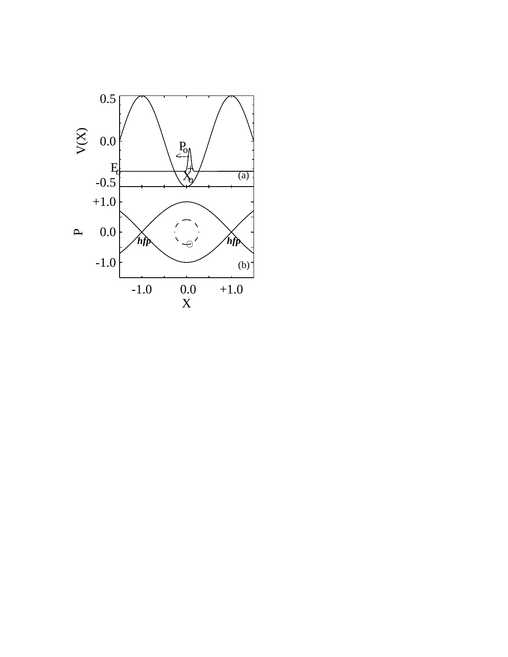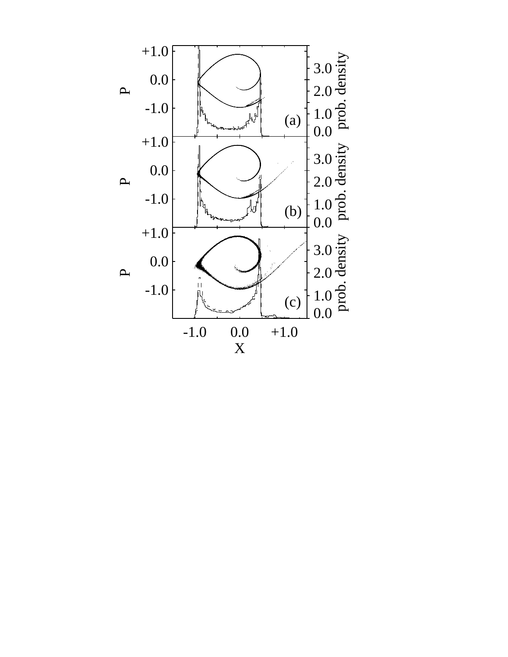